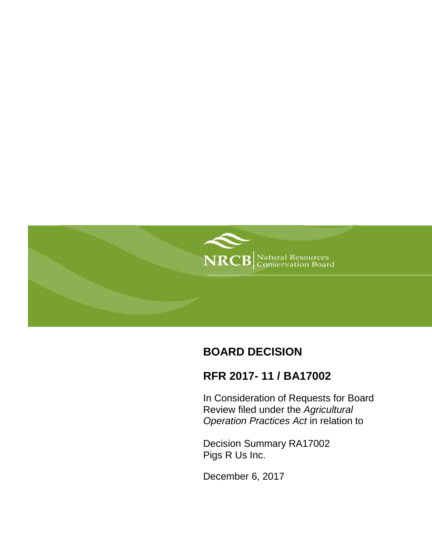

# **BOARD DECISION**

# **RFR 2017- 11 / BA17002**

In Consideration of Requests for Board Review filed under the *Agricultural Operation Practices Act* in relation to

Decision Summary RA17002 Pigs R Us Inc.

December 6, 2017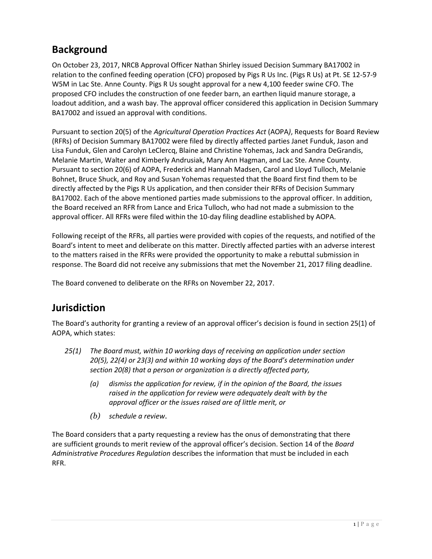# **Background**

On October 23, 2017, NRCB Approval Officer Nathan Shirley issued Decision Summary BA17002 in relation to the confined feeding operation (CFO) proposed by Pigs R Us Inc. (Pigs R Us) at Pt. SE 12-57-9 W5M in Lac Ste. Anne County. Pigs R Us sought approval for a new 4,100 feeder swine CFO. The proposed CFO includes the construction of one feeder barn, an earthen liquid manure storage, a loadout addition, and a wash bay. The approval officer considered this application in Decision Summary BA17002 and issued an approval with conditions.

Pursuant to section 20(5) of the *Agricultural Operation Practices Act* (AOPA*)*, Requests for Board Review (RFRs) of Decision Summary BA17002 were filed by directly affected parties Janet Funduk, Jason and Lisa Funduk, Glen and Carolyn LeClercq, Blaine and Christine Yohemas, Jack and Sandra DeGrandis, Melanie Martin, Walter and Kimberly Andrusiak, Mary Ann Hagman, and Lac Ste. Anne County. Pursuant to section 20(6) of AOPA, Frederick and Hannah Madsen, Carol and Lloyd Tulloch, Melanie Bohnet, Bruce Shuck, and Roy and Susan Yohemas requested that the Board first find them to be directly affected by the Pigs R Us application, and then consider their RFRs of Decision Summary BA17002. Each of the above mentioned parties made submissions to the approval officer. In addition, the Board received an RFR from Lance and Erica Tulloch, who had not made a submission to the approval officer. All RFRs were filed within the 10-day filing deadline established by AOPA.

Following receipt of the RFRs, all parties were provided with copies of the requests, and notified of the Board's intent to meet and deliberate on this matter. Directly affected parties with an adverse interest to the matters raised in the RFRs were provided the opportunity to make a rebuttal submission in response. The Board did not receive any submissions that met the November 21, 2017 filing deadline.

The Board convened to deliberate on the RFRs on November 22, 2017.

## **Jurisdiction**

The Board's authority for granting a review of an approval officer's decision is found in section 25(1) of AOPA, which states:

- *25(1) The Board must, within 10 working days of receiving an application under section 20(5), 22(4) or 23(3) and within 10 working days of the Board's determination under section 20(8) that a person or organization is a directly affected party,*
	- *(a) dismiss the application for review, if in the opinion of the Board, the issues raised in the application for review were adequately dealt with by the approval officer or the issues raised are of little merit, or*
	- *(b) schedule a review.*

The Board considers that a party requesting a review has the onus of demonstrating that there are sufficient grounds to merit review of the approval officer's decision. Section 14 of the *Board Administrative Procedures Regulation* describes the information that must be included in each RFR.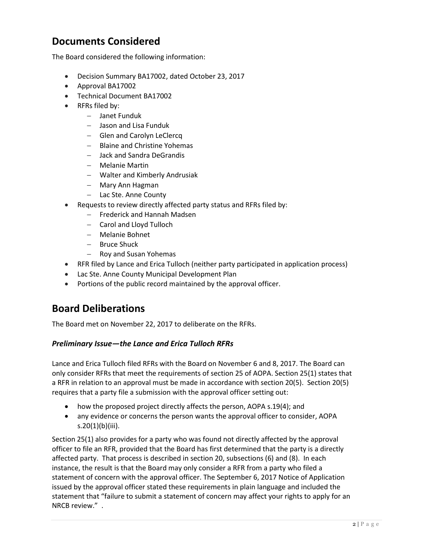## **Documents Considered**

The Board considered the following information:

- Decision Summary BA17002, dated October 23, 2017
- Approval BA17002
- Technical Document BA17002
- RFRs filed by:
	- Janet Funduk
	- Jason and Lisa Funduk
	- Glen and Carolyn LeClercq
	- Blaine and Christine Yohemas
	- Jack and Sandra DeGrandis
	- Melanie Martin
	- Walter and Kimberly Andrusiak
	- Mary Ann Hagman
	- Lac Ste. Anne County
- Requests to review directly affected party status and RFRs filed by:
	- Frederick and Hannah Madsen
	- Carol and Lloyd Tulloch
	- Melanie Bohnet
	- Bruce Shuck
	- Roy and Susan Yohemas
- RFR filed by Lance and Erica Tulloch (neither party participated in application process)
- Lac Ste. Anne County Municipal Development Plan
- Portions of the public record maintained by the approval officer.

## **Board Deliberations**

The Board met on November 22, 2017 to deliberate on the RFRs.

## *Preliminary Issue—the Lance and Erica Tulloch RFRs*

Lance and Erica Tulloch filed RFRs with the Board on November 6 and 8, 2017. The Board can only consider RFRs that meet the requirements of section 25 of AOPA. Section 25(1) states that a RFR in relation to an approval must be made in accordance with section 20(5). Section 20(5) requires that a party file a submission with the approval officer setting out:

- how the proposed project directly affects the person, AOPA s.19(4); and
- any evidence or concerns the person wants the approval officer to consider, AOPA s.20(1)(b)(iii).

Section 25(1) also provides for a party who was found not directly affected by the approval officer to file an RFR, provided that the Board has first determined that the party is a directly affected party. That process is described in section 20, subsections (6) and (8). In each instance, the result is that the Board may only consider a RFR from a party who filed a statement of concern with the approval officer. The September 6, 2017 Notice of Application issued by the approval officer stated these requirements in plain language and included the statement that "failure to submit a statement of concern may affect your rights to apply for an NRCB review." .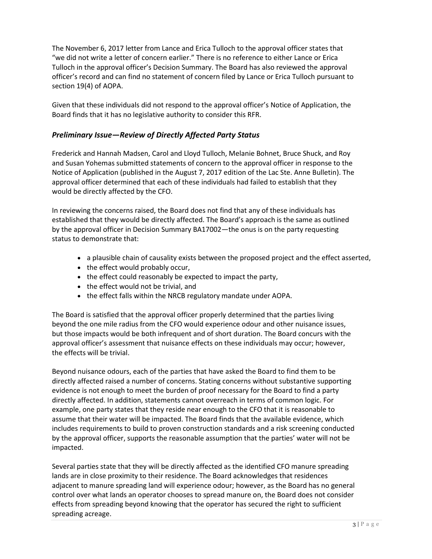The November 6, 2017 letter from Lance and Erica Tulloch to the approval officer states that "we did not write a letter of concern earlier." There is no reference to either Lance or Erica Tulloch in the approval officer's Decision Summary. The Board has also reviewed the approval officer's record and can find no statement of concern filed by Lance or Erica Tulloch pursuant to section 19(4) of AOPA.

Given that these individuals did not respond to the approval officer's Notice of Application, the Board finds that it has no legislative authority to consider this RFR.

## *Preliminary Issue—Review of Directly Affected Party Status*

Frederick and Hannah Madsen, Carol and Lloyd Tulloch, Melanie Bohnet, Bruce Shuck, and Roy and Susan Yohemas submitted statements of concern to the approval officer in response to the Notice of Application (published in the August 7, 2017 edition of the Lac Ste. Anne Bulletin). The approval officer determined that each of these individuals had failed to establish that they would be directly affected by the CFO.

In reviewing the concerns raised, the Board does not find that any of these individuals has established that they would be directly affected. The Board's approach is the same as outlined by the approval officer in Decision Summary BA17002—the onus is on the party requesting status to demonstrate that:

- a plausible chain of causality exists between the proposed project and the effect asserted,
- the effect would probably occur,
- the effect could reasonably be expected to impact the party,
- the effect would not be trivial, and
- the effect falls within the NRCB regulatory mandate under AOPA.

The Board is satisfied that the approval officer properly determined that the parties living beyond the one mile radius from the CFO would experience odour and other nuisance issues, but those impacts would be both infrequent and of short duration. The Board concurs with the approval officer's assessment that nuisance effects on these individuals may occur; however, the effects will be trivial.

Beyond nuisance odours, each of the parties that have asked the Board to find them to be directly affected raised a number of concerns. Stating concerns without substantive supporting evidence is not enough to meet the burden of proof necessary for the Board to find a party directly affected. In addition, statements cannot overreach in terms of common logic. For example, one party states that they reside near enough to the CFO that it is reasonable to assume that their water will be impacted. The Board finds that the available evidence, which includes requirements to build to proven construction standards and a risk screening conducted by the approval officer, supports the reasonable assumption that the parties' water will not be impacted.

Several parties state that they will be directly affected as the identified CFO manure spreading lands are in close proximity to their residence. The Board acknowledges that residences adjacent to manure spreading land will experience odour; however, as the Board has no general control over what lands an operator chooses to spread manure on, the Board does not consider effects from spreading beyond knowing that the operator has secured the right to sufficient spreading acreage.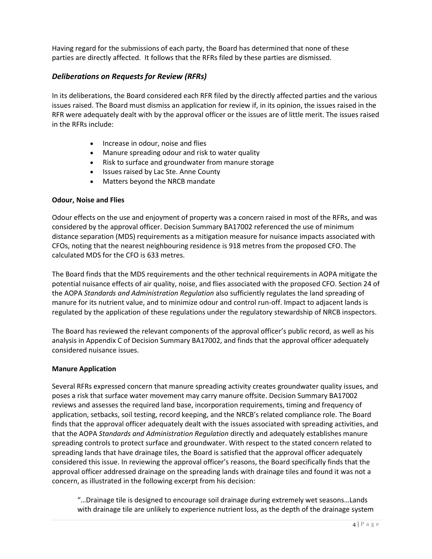Having regard for the submissions of each party, the Board has determined that none of these parties are directly affected. It follows that the RFRs filed by these parties are dismissed.

## *Deliberations on Requests for Review (RFRs)*

In its deliberations, the Board considered each RFR filed by the directly affected parties and the various issues raised. The Board must dismiss an application for review if, in its opinion, the issues raised in the RFR were adequately dealt with by the approval officer or the issues are of little merit. The issues raised in the RFRs include:

- Increase in odour, noise and flies
- Manure spreading odour and risk to water quality
- Risk to surface and groundwater from manure storage
- Issues raised by Lac Ste. Anne County
- Matters beyond the NRCB mandate

#### **Odour, Noise and Flies**

Odour effects on the use and enjoyment of property was a concern raised in most of the RFRs, and was considered by the approval officer. Decision Summary BA17002 referenced the use of minimum distance separation (MDS) requirements as a mitigation measure for nuisance impacts associated with CFOs, noting that the nearest neighbouring residence is 918 metres from the proposed CFO. The calculated MDS for the CFO is 633 metres.

The Board finds that the MDS requirements and the other technical requirements in AOPA mitigate the potential nuisance effects of air quality, noise, and flies associated with the proposed CFO. Section 24 of the AOPA *Standards and Administration Regulation* also sufficiently regulates the land spreading of manure for its nutrient value, and to minimize odour and control run-off. Impact to adjacent lands is regulated by the application of these regulations under the regulatory stewardship of NRCB inspectors.

The Board has reviewed the relevant components of the approval officer's public record, as well as his analysis in Appendix C of Decision Summary BA17002, and finds that the approval officer adequately considered nuisance issues.

#### **Manure Application**

Several RFRs expressed concern that manure spreading activity creates groundwater quality issues, and poses a risk that surface water movement may carry manure offsite. Decision Summary BA17002 reviews and assesses the required land base, incorporation requirements, timing and frequency of application, setbacks, soil testing, record keeping, and the NRCB's related compliance role. The Board finds that the approval officer adequately dealt with the issues associated with spreading activities, and that the AOPA *Standards and Administration Regulation* directly and adequately establishes manure spreading controls to protect surface and groundwater. With respect to the stated concern related to spreading lands that have drainage tiles, the Board is satisfied that the approval officer adequately considered this issue. In reviewing the approval officer's reasons, the Board specifically finds that the approval officer addressed drainage on the spreading lands with drainage tiles and found it was not a concern, as illustrated in the following excerpt from his decision:

"…Drainage tile is designed to encourage soil drainage during extremely wet seasons…Lands with drainage tile are unlikely to experience nutrient loss, as the depth of the drainage system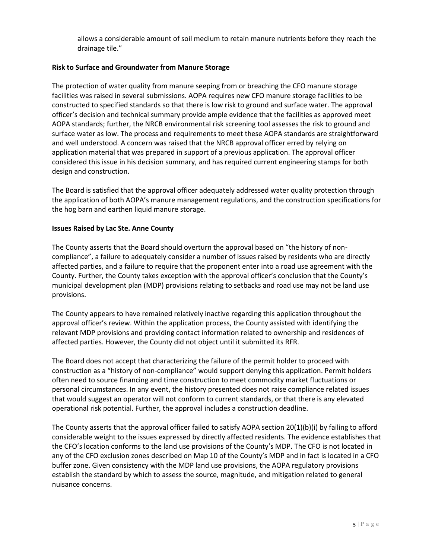allows a considerable amount of soil medium to retain manure nutrients before they reach the drainage tile."

#### **Risk to Surface and Groundwater from Manure Storage**

The protection of water quality from manure seeping from or breaching the CFO manure storage facilities was raised in several submissions. AOPA requires new CFO manure storage facilities to be constructed to specified standards so that there is low risk to ground and surface water. The approval officer's decision and technical summary provide ample evidence that the facilities as approved meet AOPA standards; further, the NRCB environmental risk screening tool assesses the risk to ground and surface water as low. The process and requirements to meet these AOPA standards are straightforward and well understood. A concern was raised that the NRCB approval officer erred by relying on application material that was prepared in support of a previous application. The approval officer considered this issue in his decision summary, and has required current engineering stamps for both design and construction.

The Board is satisfied that the approval officer adequately addressed water quality protection through the application of both AOPA's manure management regulations, and the construction specifications for the hog barn and earthen liquid manure storage.

#### **Issues Raised by Lac Ste. Anne County**

The County asserts that the Board should overturn the approval based on "the history of noncompliance", a failure to adequately consider a number of issues raised by residents who are directly affected parties, and a failure to require that the proponent enter into a road use agreement with the County. Further, the County takes exception with the approval officer's conclusion that the County's municipal development plan (MDP) provisions relating to setbacks and road use may not be land use provisions.

The County appears to have remained relatively inactive regarding this application throughout the approval officer's review. Within the application process, the County assisted with identifying the relevant MDP provisions and providing contact information related to ownership and residences of affected parties. However, the County did not object until it submitted its RFR.

The Board does not accept that characterizing the failure of the permit holder to proceed with construction as a "history of non-compliance" would support denying this application. Permit holders often need to source financing and time construction to meet commodity market fluctuations or personal circumstances. In any event, the history presented does not raise compliance related issues that would suggest an operator will not conform to current standards, or that there is any elevated operational risk potential. Further, the approval includes a construction deadline.

The County asserts that the approval officer failed to satisfy AOPA section 20(1)(b)(i) by failing to afford considerable weight to the issues expressed by directly affected residents. The evidence establishes that the CFO's location conforms to the land use provisions of the County's MDP. The CFO is not located in any of the CFO exclusion zones described on Map 10 of the County's MDP and in fact is located in a CFO buffer zone. Given consistency with the MDP land use provisions, the AOPA regulatory provisions establish the standard by which to assess the source, magnitude, and mitigation related to general nuisance concerns.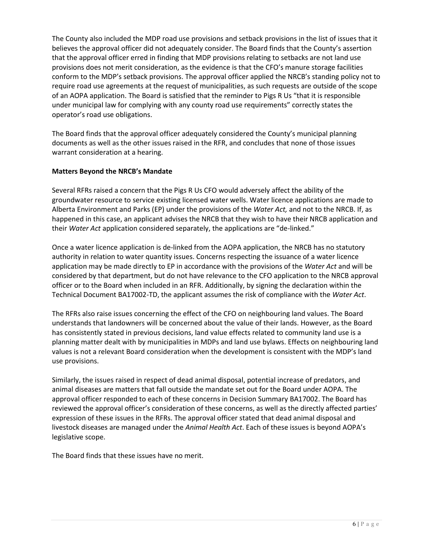The County also included the MDP road use provisions and setback provisions in the list of issues that it believes the approval officer did not adequately consider. The Board finds that the County's assertion that the approval officer erred in finding that MDP provisions relating to setbacks are not land use provisions does not merit consideration, as the evidence is that the CFO's manure storage facilities conform to the MDP's setback provisions. The approval officer applied the NRCB's standing policy not to require road use agreements at the request of municipalities, as such requests are outside of the scope of an AOPA application. The Board is satisfied that the reminder to Pigs R Us "that it is responsible under municipal law for complying with any county road use requirements" correctly states the operator's road use obligations.

The Board finds that the approval officer adequately considered the County's municipal planning documents as well as the other issues raised in the RFR, and concludes that none of those issues warrant consideration at a hearing.

### **Matters Beyond the NRCB's Mandate**

Several RFRs raised a concern that the Pigs R Us CFO would adversely affect the ability of the groundwater resource to service existing licensed water wells. Water licence applications are made to Alberta Environment and Parks (EP) under the provisions of the *Water Act,* and not to the NRCB. If, as happened in this case, an applicant advises the NRCB that they wish to have their NRCB application and their *Water Act* application considered separately, the applications are "de-linked."

Once a water licence application is de-linked from the AOPA application, the NRCB has no statutory authority in relation to water quantity issues. Concerns respecting the issuance of a water licence application may be made directly to EP in accordance with the provisions of the *Water Act* and will be considered by that department, but do not have relevance to the CFO application to the NRCB approval officer or to the Board when included in an RFR. Additionally, by signing the declaration within the Technical Document BA17002-TD, the applicant assumes the risk of compliance with the *Water Act*.

The RFRs also raise issues concerning the effect of the CFO on neighbouring land values. The Board understands that landowners will be concerned about the value of their lands. However, as the Board has consistently stated in previous decisions, land value effects related to community land use is a planning matter dealt with by municipalities in MDPs and land use bylaws. Effects on neighbouring land values is not a relevant Board consideration when the development is consistent with the MDP's land use provisions.

Similarly, the issues raised in respect of dead animal disposal, potential increase of predators, and animal diseases are matters that fall outside the mandate set out for the Board under AOPA. The approval officer responded to each of these concerns in Decision Summary BA17002. The Board has reviewed the approval officer's consideration of these concerns, as well as the directly affected parties' expression of these issues in the RFRs. The approval officer stated that dead animal disposal and livestock diseases are managed under the *Animal Health Act*. Each of these issues is beyond AOPA's legislative scope.

The Board finds that these issues have no merit.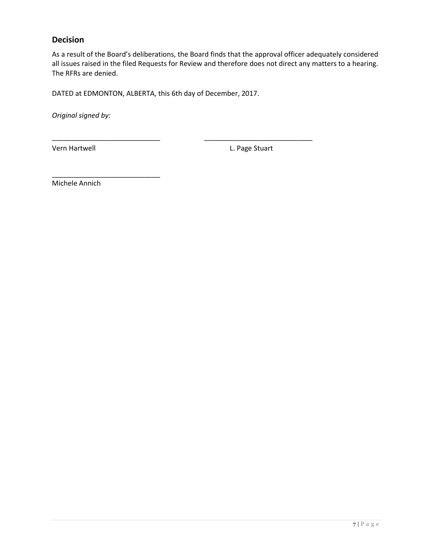## **Decision**

As a result of the Board's deliberations, the Board finds that the approval officer adequately considered all issues raised in the filed Requests for Review and therefore does not direct any matters to a hearing. The RFRs are denied.

DATED at EDMONTON, ALBERTA, this 6th day of December, 2017.

\_\_\_\_\_\_\_\_\_\_\_\_\_\_\_\_\_\_\_\_\_\_\_\_\_\_\_\_ \_\_\_\_\_\_\_\_\_\_\_\_\_\_\_\_\_\_\_\_\_\_\_\_\_\_\_\_

*Original signed by:*

Vern Hartwell **Vernet L. Page Stuart** 

Michele Annich

\_\_\_\_\_\_\_\_\_\_\_\_\_\_\_\_\_\_\_\_\_\_\_\_\_\_\_\_